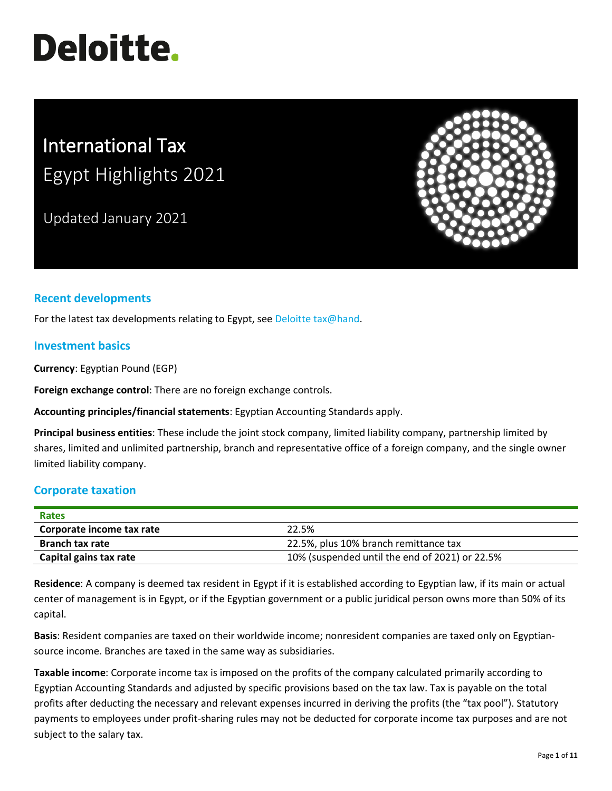# **Deloitte.**

# International Tax Egypt Highlights 2021

Updated January 2021



## **Recent developments**

For the latest tax developments relating to Egypt, see [Deloitte tax@hand.](https://www.taxathand.com/world-news/Egypt)

#### **Investment basics**

**Currency**: Egyptian Pound (EGP)

**Foreign exchange control**: There are no foreign exchange controls.

**Accounting principles/financial statements**: Egyptian Accounting Standards apply.

**Principal business entities**: These include the joint stock company, limited liability company, partnership limited by shares, limited and unlimited partnership, branch and representative office of a foreign company, and the single owner limited liability company.

#### **Corporate taxation**

| <b>Rates</b>              |                                                |
|---------------------------|------------------------------------------------|
| Corporate income tax rate | 22.5%                                          |
| <b>Branch tax rate</b>    | 22.5%, plus 10% branch remittance tax          |
| Capital gains tax rate    | 10% (suspended until the end of 2021) or 22.5% |

**Residence**: A company is deemed tax resident in Egypt if it is established according to Egyptian law, if its main or actual center of management is in Egypt, or if the Egyptian government or a public juridical person owns more than 50% of its capital.

**Basis**: Resident companies are taxed on their worldwide income; nonresident companies are taxed only on Egyptiansource income. Branches are taxed in the same way as subsidiaries.

**Taxable income**: Corporate income tax is imposed on the profits of the company calculated primarily according to Egyptian Accounting Standards and adjusted by specific provisions based on the tax law. Tax is payable on the total profits after deducting the necessary and relevant expenses incurred in deriving the profits (the "tax pool"). Statutory payments to employees under profit-sharing rules may not be deducted for corporate income tax purposes and are not subject to the salary tax.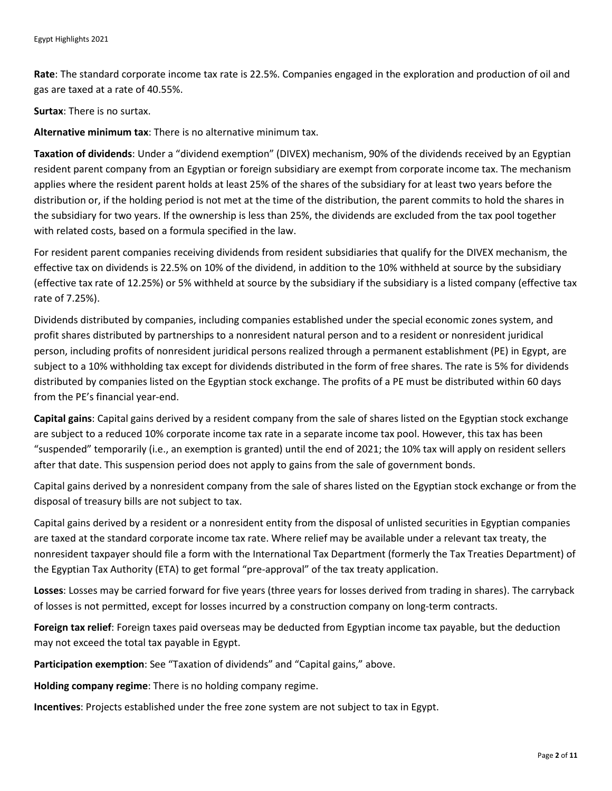**Rate**: The standard corporate income tax rate is 22.5%. Companies engaged in the exploration and production of oil and gas are taxed at a rate of 40.55%.

**Surtax**: There is no surtax.

**Alternative minimum tax**: There is no alternative minimum tax.

**Taxation of dividends**: Under a "dividend exemption" (DIVEX) mechanism, 90% of the dividends received by an Egyptian resident parent company from an Egyptian or foreign subsidiary are exempt from corporate income tax. The mechanism applies where the resident parent holds at least 25% of the shares of the subsidiary for at least two years before the distribution or, if the holding period is not met at the time of the distribution, the parent commits to hold the shares in the subsidiary for two years. If the ownership is less than 25%, the dividends are excluded from the tax pool together with related costs, based on a formula specified in the law.

For resident parent companies receiving dividends from resident subsidiaries that qualify for the DIVEX mechanism, the effective tax on dividends is 22.5% on 10% of the dividend, in addition to the 10% withheld at source by the subsidiary (effective tax rate of 12.25%) or 5% withheld at source by the subsidiary if the subsidiary is a listed company (effective tax rate of 7.25%).

Dividends distributed by companies, including companies established under the special economic zones system, and profit shares distributed by partnerships to a nonresident natural person and to a resident or nonresident juridical person, including profits of nonresident juridical persons realized through a permanent establishment (PE) in Egypt, are subject to a 10% withholding tax except for dividends distributed in the form of free shares. The rate is 5% for dividends distributed by companies listed on the Egyptian stock exchange. The profits of a PE must be distributed within 60 days from the PE's financial year-end.

**Capital gains**: Capital gains derived by a resident company from the sale of shares listed on the Egyptian stock exchange are subject to a reduced 10% corporate income tax rate in a separate income tax pool. However, this tax has been "suspended" temporarily (i.e., an exemption is granted) until the end of 2021; the 10% tax will apply on resident sellers after that date. This suspension period does not apply to gains from the sale of government bonds.

Capital gains derived by a nonresident company from the sale of shares listed on the Egyptian stock exchange or from the disposal of treasury bills are not subject to tax.

Capital gains derived by a resident or a nonresident entity from the disposal of unlisted securities in Egyptian companies are taxed at the standard corporate income tax rate. Where relief may be available under a relevant tax treaty, the nonresident taxpayer should file a form with the International Tax Department (formerly the Tax Treaties Department) of the Egyptian Tax Authority (ETA) to get formal "pre-approval" of the tax treaty application.

**Losses**: Losses may be carried forward for five years (three years for losses derived from trading in shares). The carryback of losses is not permitted, except for losses incurred by a construction company on long-term contracts.

**Foreign tax relief**: Foreign taxes paid overseas may be deducted from Egyptian income tax payable, but the deduction may not exceed the total tax payable in Egypt.

**Participation exemption**: See "Taxation of dividends" and "Capital gains," above.

**Holding company regime**: There is no holding company regime.

**Incentives**: Projects established under the free zone system are not subject to tax in Egypt.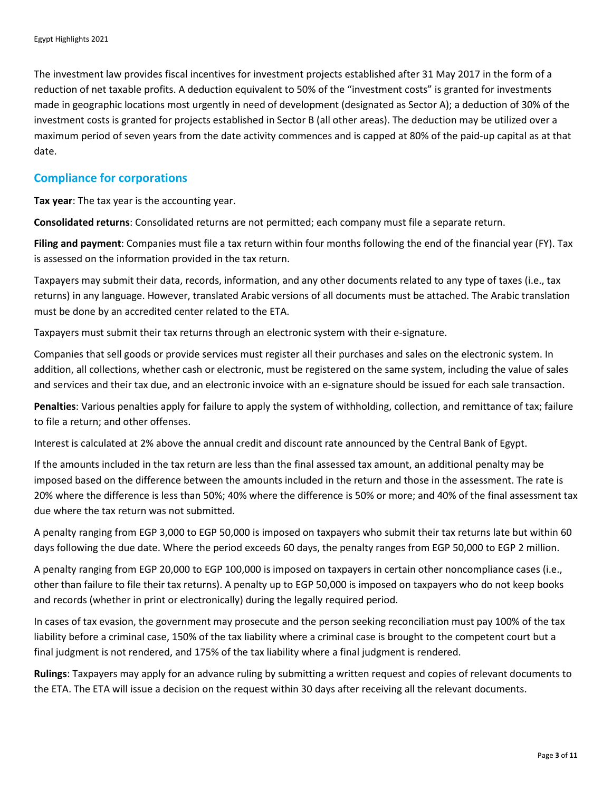The investment law provides fiscal incentives for investment projects established after 31 May 2017 in the form of a reduction of net taxable profits. A deduction equivalent to 50% of the "investment costs" is granted for investments made in geographic locations most urgently in need of development (designated as Sector A); a deduction of 30% of the investment costs is granted for projects established in Sector B (all other areas). The deduction may be utilized over a maximum period of seven years from the date activity commences and is capped at 80% of the paid-up capital as at that date.

#### **Compliance for corporations**

**Tax year**: The tax year is the accounting year.

**Consolidated returns**: Consolidated returns are not permitted; each company must file a separate return.

**Filing and payment**: Companies must file a tax return within four months following the end of the financial year (FY). Tax is assessed on the information provided in the tax return.

Taxpayers may submit their data, records, information, and any other documents related to any type of taxes (i.e., tax returns) in any language. However, translated Arabic versions of all documents must be attached. The Arabic translation must be done by an accredited center related to the ETA.

Taxpayers must submit their tax returns through an electronic system with their e-signature.

Companies that sell goods or provide services must register all their purchases and sales on the electronic system. In addition, all collections, whether cash or electronic, must be registered on the same system, including the value of sales and services and their tax due, and an electronic invoice with an e-signature should be issued for each sale transaction.

**Penalties**: Various penalties apply for failure to apply the system of withholding, collection, and remittance of tax; failure to file a return; and other offenses.

Interest is calculated at 2% above the annual credit and discount rate announced by the Central Bank of Egypt.

If the amounts included in the tax return are less than the final assessed tax amount, an additional penalty may be imposed based on the difference between the amounts included in the return and those in the assessment. The rate is 20% where the difference is less than 50%; 40% where the difference is 50% or more; and 40% of the final assessment tax due where the tax return was not submitted.

A penalty ranging from EGP 3,000 to EGP 50,000 is imposed on taxpayers who submit their tax returns late but within 60 days following the due date. Where the period exceeds 60 days, the penalty ranges from EGP 50,000 to EGP 2 million.

A penalty ranging from EGP 20,000 to EGP 100,000 is imposed on taxpayers in certain other noncompliance cases (i.e., other than failure to file their tax returns). A penalty up to EGP 50,000 is imposed on taxpayers who do not keep books and records (whether in print or electronically) during the legally required period.

In cases of tax evasion, the government may prosecute and the person seeking reconciliation must pay 100% of the tax liability before a criminal case, 150% of the tax liability where a criminal case is brought to the competent court but a final judgment is not rendered, and 175% of the tax liability where a final judgment is rendered.

**Rulings**: Taxpayers may apply for an advance ruling by submitting a written request and copies of relevant documents to the ETA. The ETA will issue a decision on the request within 30 days after receiving all the relevant documents.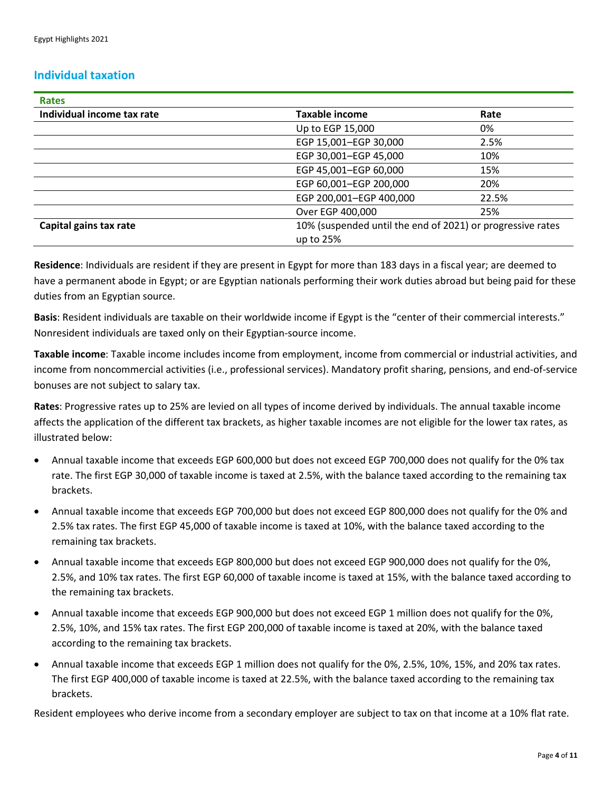#### **Individual taxation**

| <b>Rates</b>               |                                                            |       |
|----------------------------|------------------------------------------------------------|-------|
| Individual income tax rate | <b>Taxable income</b>                                      | Rate  |
|                            | Up to EGP 15,000                                           | 0%    |
|                            | EGP 15,001-EGP 30,000                                      | 2.5%  |
|                            | EGP 30,001-EGP 45,000                                      | 10%   |
|                            | EGP 45,001-EGP 60,000                                      | 15%   |
|                            | EGP 60,001-EGP 200,000                                     | 20%   |
|                            | EGP 200,001-EGP 400,000                                    | 22.5% |
|                            | Over EGP 400,000                                           | 25%   |
| Capital gains tax rate     | 10% (suspended until the end of 2021) or progressive rates |       |
|                            | up to 25%                                                  |       |

**Residence**: Individuals are resident if they are present in Egypt for more than 183 days in a fiscal year; are deemed to have a permanent abode in Egypt; or are Egyptian nationals performing their work duties abroad but being paid for these duties from an Egyptian source.

**Basis**: Resident individuals are taxable on their worldwide income if Egypt is the "center of their commercial interests." Nonresident individuals are taxed only on their Egyptian-source income.

**Taxable income**: Taxable income includes income from employment, income from commercial or industrial activities, and income from noncommercial activities (i.e., professional services). Mandatory profit sharing, pensions, and end-of-service bonuses are not subject to salary tax.

**Rates**: Progressive rates up to 25% are levied on all types of income derived by individuals. The annual taxable income affects the application of the different tax brackets, as higher taxable incomes are not eligible for the lower tax rates, as illustrated below:

- Annual taxable income that exceeds EGP 600,000 but does not exceed EGP 700,000 does not qualify for the 0% tax rate. The first EGP 30,000 of taxable income is taxed at 2.5%, with the balance taxed according to the remaining tax brackets.
- Annual taxable income that exceeds EGP 700,000 but does not exceed EGP 800,000 does not qualify for the 0% and 2.5% tax rates. The first EGP 45,000 of taxable income is taxed at 10%, with the balance taxed according to the remaining tax brackets.
- Annual taxable income that exceeds EGP 800,000 but does not exceed EGP 900,000 does not qualify for the 0%, 2.5%, and 10% tax rates. The first EGP 60,000 of taxable income is taxed at 15%, with the balance taxed according to the remaining tax brackets.
- Annual taxable income that exceeds EGP 900,000 but does not exceed EGP 1 million does not qualify for the 0%, 2.5%, 10%, and 15% tax rates. The first EGP 200,000 of taxable income is taxed at 20%, with the balance taxed according to the remaining tax brackets.
- Annual taxable income that exceeds EGP 1 million does not qualify for the 0%, 2.5%, 10%, 15%, and 20% tax rates. The first EGP 400,000 of taxable income is taxed at 22.5%, with the balance taxed according to the remaining tax brackets.

Resident employees who derive income from a secondary employer are subject to tax on that income at a 10% flat rate.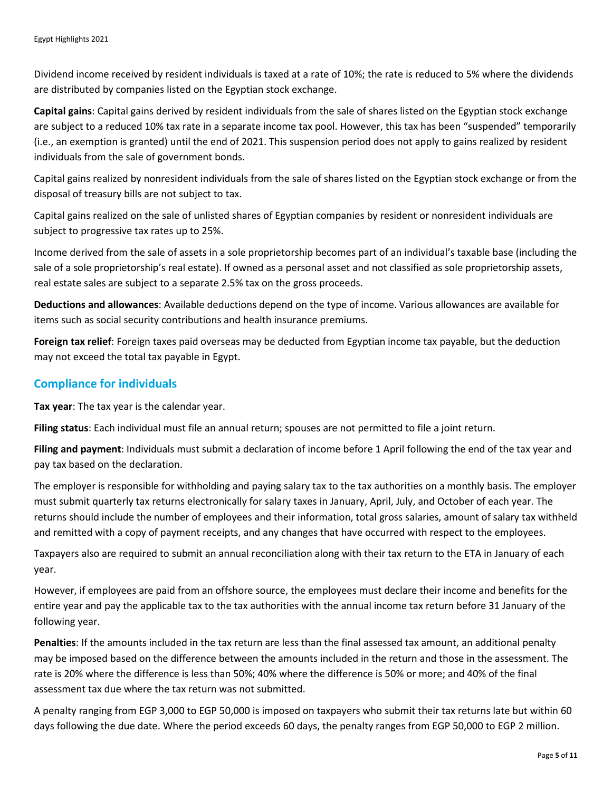Dividend income received by resident individuals is taxed at a rate of 10%; the rate is reduced to 5% where the dividends are distributed by companies listed on the Egyptian stock exchange.

**Capital gains**: Capital gains derived by resident individuals from the sale of shares listed on the Egyptian stock exchange are subject to a reduced 10% tax rate in a separate income tax pool. However, this tax has been "suspended" temporarily (i.e., an exemption is granted) until the end of 2021. This suspension period does not apply to gains realized by resident individuals from the sale of government bonds.

Capital gains realized by nonresident individuals from the sale of shares listed on the Egyptian stock exchange or from the disposal of treasury bills are not subject to tax.

Capital gains realized on the sale of unlisted shares of Egyptian companies by resident or nonresident individuals are subject to progressive tax rates up to 25%.

Income derived from the sale of assets in a sole proprietorship becomes part of an individual's taxable base (including the sale of a sole proprietorship's real estate). If owned as a personal asset and not classified as sole proprietorship assets, real estate sales are subject to a separate 2.5% tax on the gross proceeds.

**Deductions and allowances**: Available deductions depend on the type of income. Various allowances are available for items such as social security contributions and health insurance premiums.

**Foreign tax relief**: Foreign taxes paid overseas may be deducted from Egyptian income tax payable, but the deduction may not exceed the total tax payable in Egypt.

#### **Compliance for individuals**

**Tax year**: The tax year is the calendar year.

**Filing status**: Each individual must file an annual return; spouses are not permitted to file a joint return.

**Filing and payment**: Individuals must submit a declaration of income before 1 April following the end of the tax year and pay tax based on the declaration.

The employer is responsible for withholding and paying salary tax to the tax authorities on a monthly basis. The employer must submit quarterly tax returns electronically for salary taxes in January, April, July, and October of each year. The returns should include the number of employees and their information, total gross salaries, amount of salary tax withheld and remitted with a copy of payment receipts, and any changes that have occurred with respect to the employees.

Taxpayers also are required to submit an annual reconciliation along with their tax return to the ETA in January of each year.

However, if employees are paid from an offshore source, the employees must declare their income and benefits for the entire year and pay the applicable tax to the tax authorities with the annual income tax return before 31 January of the following year.

**Penalties**: If the amounts included in the tax return are less than the final assessed tax amount, an additional penalty may be imposed based on the difference between the amounts included in the return and those in the assessment. The rate is 20% where the difference is less than 50%; 40% where the difference is 50% or more; and 40% of the final assessment tax due where the tax return was not submitted.

A penalty ranging from EGP 3,000 to EGP 50,000 is imposed on taxpayers who submit their tax returns late but within 60 days following the due date. Where the period exceeds 60 days, the penalty ranges from EGP 50,000 to EGP 2 million.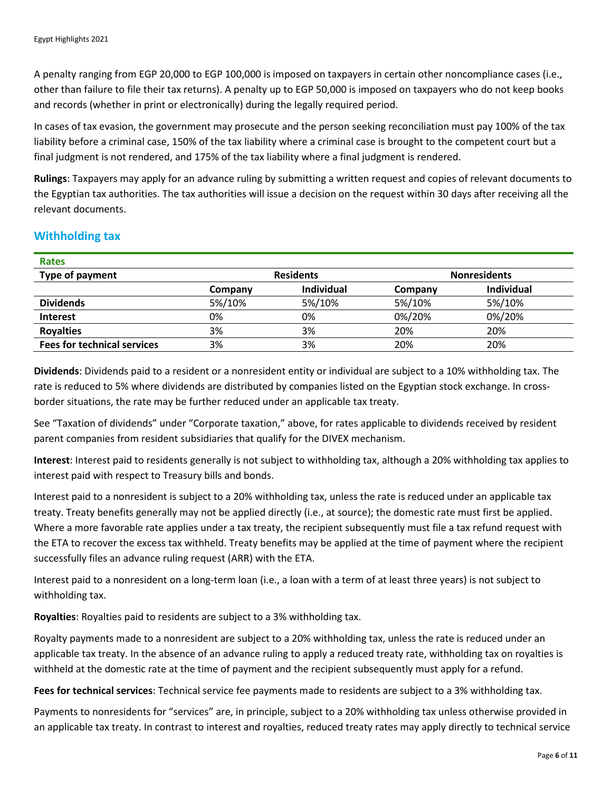A penalty ranging from EGP 20,000 to EGP 100,000 is imposed on taxpayers in certain other noncompliance cases (i.e., other than failure to file their tax returns). A penalty up to EGP 50,000 is imposed on taxpayers who do not keep books and records (whether in print or electronically) during the legally required period.

In cases of tax evasion, the government may prosecute and the person seeking reconciliation must pay 100% of the tax liability before a criminal case, 150% of the tax liability where a criminal case is brought to the competent court but a final judgment is not rendered, and 175% of the tax liability where a final judgment is rendered.

**Rulings**: Taxpayers may apply for an advance ruling by submitting a written request and copies of relevant documents to the Egyptian tax authorities. The tax authorities will issue a decision on the request within 30 days after receiving all the relevant documents.

#### **Withholding tax**

| <b>Residents</b> |                   | <b>Nonresidents</b> |            |
|------------------|-------------------|---------------------|------------|
| Company          | <b>Individual</b> | Company             | Individual |
| 5%/10%           | 5%/10%            | 5%/10%              | 5%/10%     |
| 0%               | 0%                | 0%/20%              | 0%/20%     |
| 3%               | 3%                | 20%                 | 20%        |
| 3%               | 3%                | 20%                 | 20%        |
|                  |                   |                     |            |

**Dividends**: Dividends paid to a resident or a nonresident entity or individual are subject to a 10% withholding tax. The rate is reduced to 5% where dividends are distributed by companies listed on the Egyptian stock exchange. In crossborder situations, the rate may be further reduced under an applicable tax treaty.

See "Taxation of dividends" under "Corporate taxation," above, for rates applicable to dividends received by resident parent companies from resident subsidiaries that qualify for the DIVEX mechanism.

**Interest**: Interest paid to residents generally is not subject to withholding tax, although a 20% withholding tax applies to interest paid with respect to Treasury bills and bonds.

Interest paid to a nonresident is subject to a 20% withholding tax, unless the rate is reduced under an applicable tax treaty. Treaty benefits generally may not be applied directly (i.e., at source); the domestic rate must first be applied. Where a more favorable rate applies under a tax treaty, the recipient subsequently must file a tax refund request with the ETA to recover the excess tax withheld. Treaty benefits may be applied at the time of payment where the recipient successfully files an advance ruling request (ARR) with the ETA.

Interest paid to a nonresident on a long-term loan (i.e., a loan with a term of at least three years) is not subject to withholding tax.

**Royalties**: Royalties paid to residents are subject to a 3% withholding tax.

Royalty payments made to a nonresident are subject to a 20% withholding tax, unless the rate is reduced under an applicable tax treaty. In the absence of an advance ruling to apply a reduced treaty rate, withholding tax on royalties is withheld at the domestic rate at the time of payment and the recipient subsequently must apply for a refund.

**Fees for technical services**: Technical service fee payments made to residents are subject to a 3% withholding tax.

Payments to nonresidents for "services" are, in principle, subject to a 20% withholding tax unless otherwise provided in an applicable tax treaty. In contrast to interest and royalties, reduced treaty rates may apply directly to technical service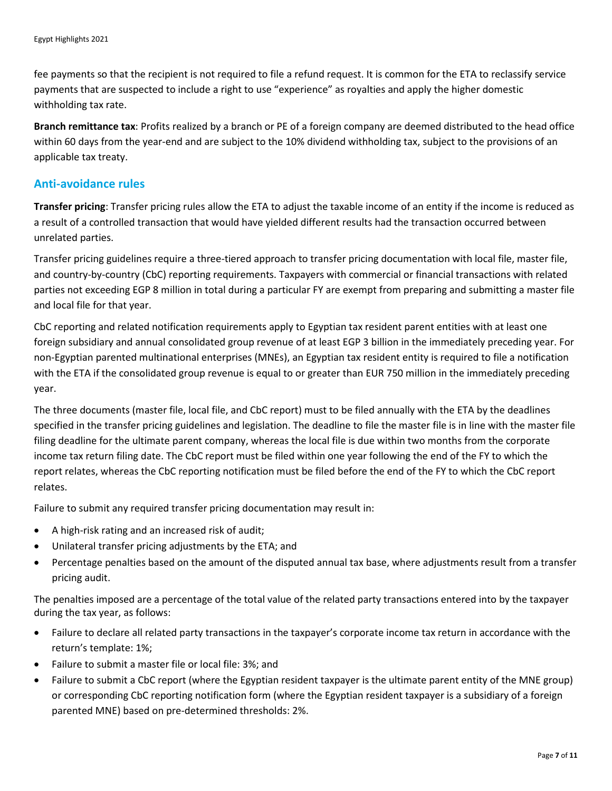fee payments so that the recipient is not required to file a refund request. It is common for the ETA to reclassify service payments that are suspected to include a right to use "experience" as royalties and apply the higher domestic withholding tax rate.

**Branch remittance tax**: Profits realized by a branch or PE of a foreign company are deemed distributed to the head office within 60 days from the year-end and are subject to the 10% dividend withholding tax, subject to the provisions of an applicable tax treaty.

#### **Anti-avoidance rules**

**Transfer pricing**: Transfer pricing rules allow the ETA to adjust the taxable income of an entity if the income is reduced as a result of a controlled transaction that would have yielded different results had the transaction occurred between unrelated parties.

Transfer pricing guidelines require a three-tiered approach to transfer pricing documentation with local file, master file, and country-by-country (CbC) reporting requirements. Taxpayers with commercial or financial transactions with related parties not exceeding EGP 8 million in total during a particular FY are exempt from preparing and submitting a master file and local file for that year.

CbC reporting and related notification requirements apply to Egyptian tax resident parent entities with at least one foreign subsidiary and annual consolidated group revenue of at least EGP 3 billion in the immediately preceding year. For non-Egyptian parented multinational enterprises (MNEs), an Egyptian tax resident entity is required to file a notification with the ETA if the consolidated group revenue is equal to or greater than EUR 750 million in the immediately preceding year.

The three documents (master file, local file, and CbC report) must to be filed annually with the ETA by the deadlines specified in the transfer pricing guidelines and legislation. The deadline to file the master file is in line with the master file filing deadline for the ultimate parent company, whereas the local file is due within two months from the corporate income tax return filing date. The CbC report must be filed within one year following the end of the FY to which the report relates, whereas the CbC reporting notification must be filed before the end of the FY to which the CbC report relates.

Failure to submit any required transfer pricing documentation may result in:

- A high-risk rating and an increased risk of audit;
- Unilateral transfer pricing adjustments by the ETA; and
- Percentage penalties based on the amount of the disputed annual tax base, where adjustments result from a transfer pricing audit.

The penalties imposed are a percentage of the total value of the related party transactions entered into by the taxpayer during the tax year, as follows:

- Failure to declare all related party transactions in the taxpayer's corporate income tax return in accordance with the return's template: 1%;
- Failure to submit a master file or local file: 3%; and
- Failure to submit a CbC report (where the Egyptian resident taxpayer is the ultimate parent entity of the MNE group) or corresponding CbC reporting notification form (where the Egyptian resident taxpayer is a subsidiary of a foreign parented MNE) based on pre-determined thresholds: 2%.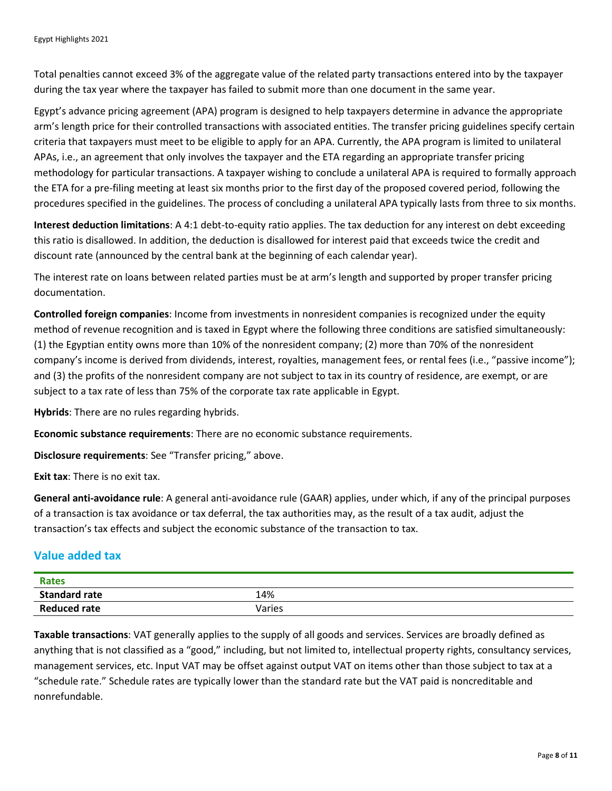Total penalties cannot exceed 3% of the aggregate value of the related party transactions entered into by the taxpayer during the tax year where the taxpayer has failed to submit more than one document in the same year.

Egypt's advance pricing agreement (APA) program is designed to help taxpayers determine in advance the appropriate arm's length price for their controlled transactions with associated entities. The transfer pricing guidelines specify certain criteria that taxpayers must meet to be eligible to apply for an APA. Currently, the APA program is limited to unilateral APAs, i.e., an agreement that only involves the taxpayer and the ETA regarding an appropriate transfer pricing methodology for particular transactions. A taxpayer wishing to conclude a unilateral APA is required to formally approach the ETA for a pre-filing meeting at least six months prior to the first day of the proposed covered period, following the procedures specified in the guidelines. The process of concluding a unilateral APA typically lasts from three to six months.

**Interest deduction limitations**: A 4:1 debt-to-equity ratio applies. The tax deduction for any interest on debt exceeding this ratio is disallowed. In addition, the deduction is disallowed for interest paid that exceeds twice the credit and discount rate (announced by the central bank at the beginning of each calendar year).

The interest rate on loans between related parties must be at arm's length and supported by proper transfer pricing documentation.

**Controlled foreign companies**: Income from investments in nonresident companies is recognized under the equity method of revenue recognition and is taxed in Egypt where the following three conditions are satisfied simultaneously: (1) the Egyptian entity owns more than 10% of the nonresident company; (2) more than 70% of the nonresident company's income is derived from dividends, interest, royalties, management fees, or rental fees (i.e., "passive income"); and (3) the profits of the nonresident company are not subject to tax in its country of residence, are exempt, or are subject to a tax rate of less than 75% of the corporate tax rate applicable in Egypt.

**Hybrids**: There are no rules regarding hybrids.

**Economic substance requirements**: There are no economic substance requirements.

**Disclosure requirements**: See "Transfer pricing," above.

**Exit tax**: There is no exit tax.

**General anti-avoidance rule**: A general anti-avoidance rule (GAAR) applies, under which, if any of the principal purposes of a transaction is tax avoidance or tax deferral, the tax authorities may, as the result of a tax audit, adjust the transaction's tax effects and subject the economic substance of the transaction to tax.

### **Value added tax**

| <b>Rates</b>         |        |
|----------------------|--------|
| <b>Standard rate</b> | 14%    |
| <b>Reduced rate</b>  | Varies |

**Taxable transactions**: VAT generally applies to the supply of all goods and services. Services are broadly defined as anything that is not classified as a "good," including, but not limited to, intellectual property rights, consultancy services, management services, etc. Input VAT may be offset against output VAT on items other than those subject to tax at a "schedule rate." Schedule rates are typically lower than the standard rate but the VAT paid is noncreditable and nonrefundable.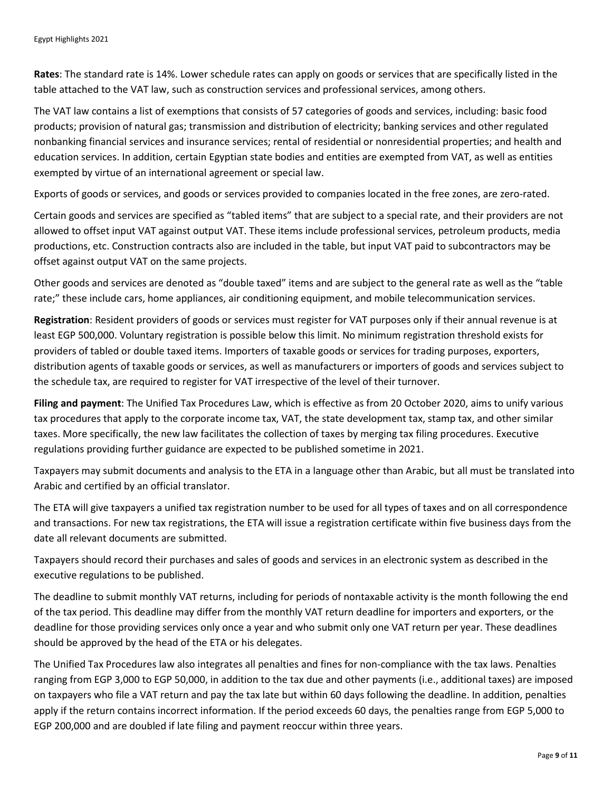**Rates**: The standard rate is 14%. Lower schedule rates can apply on goods or services that are specifically listed in the table attached to the VAT law, such as construction services and professional services, among others.

The VAT law contains a list of exemptions that consists of 57 categories of goods and services, including: basic food products; provision of natural gas; transmission and distribution of electricity; banking services and other regulated nonbanking financial services and insurance services; rental of residential or nonresidential properties; and health and education services. In addition, certain Egyptian state bodies and entities are exempted from VAT, as well as entities exempted by virtue of an international agreement or special law.

Exports of goods or services, and goods or services provided to companies located in the free zones, are zero-rated.

Certain goods and services are specified as "tabled items" that are subject to a special rate, and their providers are not allowed to offset input VAT against output VAT. These items include professional services, petroleum products, media productions, etc. Construction contracts also are included in the table, but input VAT paid to subcontractors may be offset against output VAT on the same projects.

Other goods and services are denoted as "double taxed" items and are subject to the general rate as well as the "table rate;" these include cars, home appliances, air conditioning equipment, and mobile telecommunication services.

**Registration**: Resident providers of goods or services must register for VAT purposes only if their annual revenue is at least EGP 500,000. Voluntary registration is possible below this limit. No minimum registration threshold exists for providers of tabled or double taxed items. Importers of taxable goods or services for trading purposes, exporters, distribution agents of taxable goods or services, as well as manufacturers or importers of goods and services subject to the schedule tax, are required to register for VAT irrespective of the level of their turnover.

**Filing and payment**: The Unified Tax Procedures Law, which is effective as from 20 October 2020, aims to unify various tax procedures that apply to the corporate income tax, VAT, the state development tax, stamp tax, and other similar taxes. More specifically, the new law facilitates the collection of taxes by merging tax filing procedures. Executive regulations providing further guidance are expected to be published sometime in 2021.

Taxpayers may submit documents and analysis to the ETA in a language other than Arabic, but all must be translated into Arabic and certified by an official translator.

The ETA will give taxpayers a unified tax registration number to be used for all types of taxes and on all correspondence and transactions. For new tax registrations, the ETA will issue a registration certificate within five business days from the date all relevant documents are submitted.

Taxpayers should record their purchases and sales of goods and services in an electronic system as described in the executive regulations to be published.

The deadline to submit monthly VAT returns, including for periods of nontaxable activity is the month following the end of the tax period. This deadline may differ from the monthly VAT return deadline for importers and exporters, or the deadline for those providing services only once a year and who submit only one VAT return per year. These deadlines should be approved by the head of the ETA or his delegates.

The Unified Tax Procedures law also integrates all penalties and fines for non-compliance with the tax laws. Penalties ranging from EGP 3,000 to EGP 50,000, in addition to the tax due and other payments (i.e., additional taxes) are imposed on taxpayers who file a VAT return and pay the tax late but within 60 days following the deadline. In addition, penalties apply if the return contains incorrect information. If the period exceeds 60 days, the penalties range from EGP 5,000 to EGP 200,000 and are doubled if late filing and payment reoccur within three years.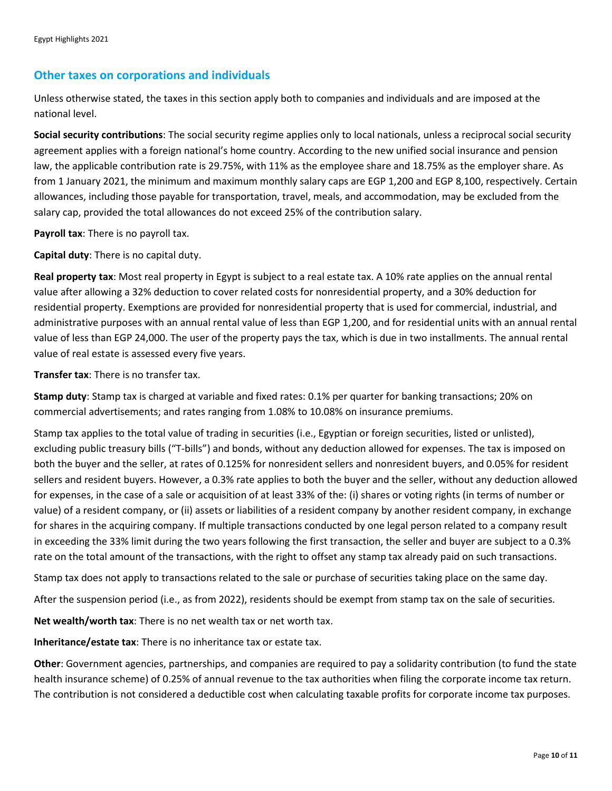#### **Other taxes on corporations and individuals**

Unless otherwise stated, the taxes in this section apply both to companies and individuals and are imposed at the national level.

**Social security contributions**: The social security regime applies only to local nationals, unless a reciprocal social security agreement applies with a foreign national's home country. According to the new unified social insurance and pension law, the applicable contribution rate is 29.75%, with 11% as the employee share and 18.75% as the employer share. As from 1 January 2021, the minimum and maximum monthly salary caps are EGP 1,200 and EGP 8,100, respectively. Certain allowances, including those payable for transportation, travel, meals, and accommodation, may be excluded from the salary cap, provided the total allowances do not exceed 25% of the contribution salary.

**Payroll tax**: There is no payroll tax.

**Capital duty**: There is no capital duty.

**Real property tax**: Most real property in Egypt is subject to a real estate tax. A 10% rate applies on the annual rental value after allowing a 32% deduction to cover related costs for nonresidential property, and a 30% deduction for residential property. Exemptions are provided for nonresidential property that is used for commercial, industrial, and administrative purposes with an annual rental value of less than EGP 1,200, and for residential units with an annual rental value of less than EGP 24,000. The user of the property pays the tax, which is due in two installments. The annual rental value of real estate is assessed every five years.

**Transfer tax**: There is no transfer tax.

**Stamp duty**: Stamp tax is charged at variable and fixed rates: 0.1% per quarter for banking transactions; 20% on commercial advertisements; and rates ranging from 1.08% to 10.08% on insurance premiums.

Stamp tax applies to the total value of trading in securities (i.e., Egyptian or foreign securities, listed or unlisted), excluding public treasury bills ("T-bills") and bonds, without any deduction allowed for expenses. The tax is imposed on both the buyer and the seller, at rates of 0.125% for nonresident sellers and nonresident buyers, and 0.05% for resident sellers and resident buyers. However, a 0.3% rate applies to both the buyer and the seller, without any deduction allowed for expenses, in the case of a sale or acquisition of at least 33% of the: (i) shares or voting rights (in terms of number or value) of a resident company, or (ii) assets or liabilities of a resident company by another resident company, in exchange for shares in the acquiring company. If multiple transactions conducted by one legal person related to a company result in exceeding the 33% limit during the two years following the first transaction, the seller and buyer are subject to a 0.3% rate on the total amount of the transactions, with the right to offset any stamp tax already paid on such transactions.

Stamp tax does not apply to transactions related to the sale or purchase of securities taking place on the same day.

After the suspension period (i.e., as from 2022), residents should be exempt from stamp tax on the sale of securities.

**Net wealth/worth tax**: There is no net wealth tax or net worth tax.

**Inheritance/estate tax**: There is no inheritance tax or estate tax.

**Other**: Government agencies, partnerships, and companies are required to pay a solidarity contribution (to fund the state health insurance scheme) of 0.25% of annual revenue to the tax authorities when filing the corporate income tax return. The contribution is not considered a deductible cost when calculating taxable profits for corporate income tax purposes.